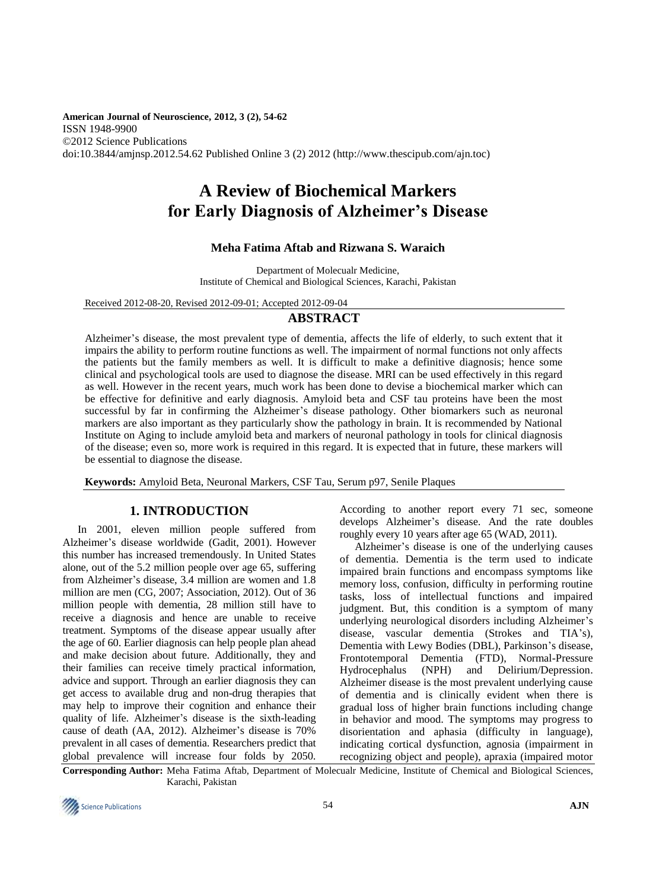**American Journal of Neuroscience, 2012, 3 (2), 54-62** ISSN 1948-9900 ©2012 Science Publications doi:10.3844/amjnsp.2012.54.62 Published Online 3 (2) 2012 (http://www.thescipub.com/ajn.toc)

# **A Review of Biochemical Markers for Early Diagnosis of Alzheimer's Disease**

# **Meha Fatima Aftab and Rizwana S. Waraich**

Department of Molecualr Medicine, Institute of Chemical and Biological Sciences, Karachi, Pakistan

Received 2012-08-20, Revised 2012-09-01; Accepted 2012-09-04

# **ABSTRACT**

Alzheimer's disease, the most prevalent type of dementia, affects the life of elderly, to such extent that it impairs the ability to perform routine functions as well. The impairment of normal functions not only affects the patients but the family members as well. It is difficult to make a definitive diagnosis; hence some clinical and psychological tools are used to diagnose the disease. MRI can be used effectively in this regard as well. However in the recent years, much work has been done to devise a biochemical marker which can be effective for definitive and early diagnosis. Amyloid beta and CSF tau proteins have been the most successful by far in confirming the Alzheimer's disease pathology. Other biomarkers such as neuronal markers are also important as they particularly show the pathology in brain. It is recommended by National Institute on Aging to include amyloid beta and markers of neuronal pathology in tools for clinical diagnosis of the disease; even so, more work is required in this regard. It is expected that in future, these markers will be essential to diagnose the disease.

**Keywords:** Amyloid Beta, Neuronal Markers, CSF Tau, Serum p97, Senile Plaques

# **1. INTRODUCTION**

In 2001, eleven million people suffered from Alzheimer's disease worldwide (Gadit, 2001). However this number has increased tremendously. In United States alone, out of the 5.2 million people over age 65, suffering from Alzheimer's disease, 3.4 million are women and 1.8 million are men (CG, 2007; Association, 2012). Out of 36 million people with dementia, 28 million still have to receive a diagnosis and hence are unable to receive treatment. Symptoms of the disease appear usually after the age of 60. Earlier diagnosis can help people plan ahead and make decision about future. Additionally, they and their families can receive timely practical information, advice and support. Through an earlier diagnosis they can get access to available drug and non-drug therapies that may help to improve their cognition and enhance their quality of life. Alzheimer's disease is the sixth-leading cause of death (AA, 2012). Alzheimer's disease is 70% prevalent in all cases of dementia. [Researchers predict](http://www.emaxhealth.com/91/12843.html) that global prevalence will increase four folds by 2050.

According to another report every 71 sec, someone develops Alzheimer's disease. And the rate doubles roughly every 10 years after age 65 (WAD, 2011).

Alzheimer's disease is one of the underlying causes of dementia. Dementia is the term used to indicate impaired brain functions and encompass symptoms like memory loss, confusion, difficulty in performing routine tasks, loss of intellectual functions and impaired judgment. But, this condition is a symptom of many underlying neurological disorders including Alzheimer's disease, vascular dementia (Strokes and TIA's), Dementia with Lewy Bodies (DBL), Parkinson's disease, Frontotemporal Dementia (FTD), Normal-Pressure Hydrocephalus (NPH) and Delirium/Depression. Alzheimer disease is the most prevalent underlying cause of dementia and is clinically evident when there is gradual loss of higher brain functions including change in behavior and mood. The symptoms may progress to disorientation and aphasia (difficulty in language), indicating cortical dysfunction, agnosia (impairment in recognizing object and people), apraxia (impaired motor

**Corresponding Author:** Meha Fatima Aftab, Department of Molecualr Medicine, Institute of Chemical and Biological Sciences, Karachi, Pakistan

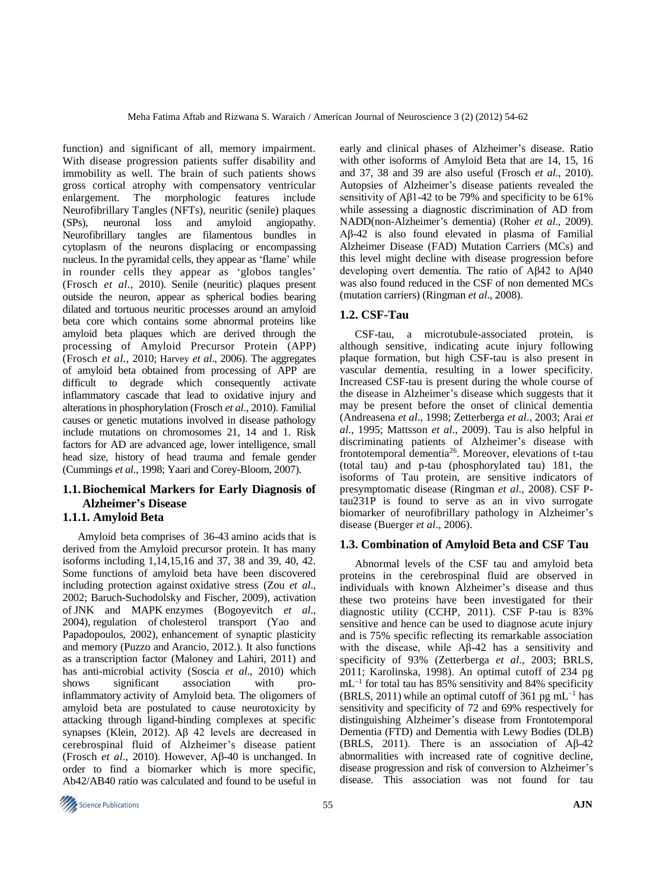function) and significant of all, memory impairment. With disease progression patients suffer disability and immobility as well. The brain of such patients shows gross cortical atrophy with compensatory ventricular enlargement. The morphologic features include Neurofibrillary Tangles (NFTs), neuritic (senile) plaques (SPs), neuronal loss and amyloid angiopathy. Neurofibrillary tangles are filamentous bundles in cytoplasm of the neurons displacing or encompassing nucleus. In the pyramidal cells, they appear as 'flame' while in rounder cells they appear as 'globos tangles' (Frosch *et al*., 2010). Senile (neuritic) plaques present outside the neuron, appear as spherical bodies bearing dilated and tortuous neuritic processes around an amyloid beta core which contains some abnormal proteins like amyloid beta plaques which are derived through the processing of Amyloid Precursor Protein (APP) (Frosch *et al*., 2010; Harvey *et al*., 2006). The aggregates of amyloid beta obtained from processing of APP are difficult to degrade which consequently activate inflammatory cascade that lead to oxidative injury and alterations in phosphorylation (Frosch *et al*., 2010). Familial causes or genetic mutations involved in disease pathology include mutations on chromosomes 21, 14 and 1. Risk factors for AD are advanced age, lower intelligence, small head size, history of head trauma and female gender (Cummings *et al*., 1998; Yaari and Corey-Bloom, 2007).

# **1.1.Biochemical Markers for Early Diagnosis of Alzheimer's Disease 1.1.1. Amyloid Beta**

Amyloid beta comprises of 36-43 [amino acids](http://en.wikipedia.org/wiki/Amino_acid) that is derived from the [Amyloid precursor protein.](http://en.wikipedia.org/wiki/Amyloid_precursor_protein) It has many isoforms including 1,14,15,16 and 37, 38 and 39, 40, 42. Some functions of amyloid beta have been discovered including protection against [oxidative stress](http://en.wikipedia.org/wiki/Oxidative_stress) (Zou *et al*., 2002; Baruch-Suchodolsky and Fischer, 2009), activation of JNK and MAPK [enzymes \(](http://en.wikipedia.org/wiki/Enzymes)Bogoyevitch *et al*., 2004), regulation of [cholesterol](http://en.wikipedia.org/wiki/Cholesterol) transport (Yao and Papadopoulos, 2002), enhancement of synaptic plasticity and memory [\(Puzzo](http://www.ncbi.nlm.nih.gov/pubmed?term=Puzzo%20D%5BAuthor%5D&cauthor=true&cauthor_uid=22735675) and [Arancio, 2012.\)](http://www.ncbi.nlm.nih.gov/pubmed?term=Arancio%20O%5BAuthor%5D&cauthor=true&cauthor_uid=22735675). It also functions as a transcription factor [\(Maloney and Lahiri, 2011\)](http://en.wikipedia.org/wiki/Transcription_factor) and has anti-microbial activity (Soscia *et al*., 2010) which shows significant association with pro[inflammatory](http://en.wikipedia.org/wiki/Inflammation) activity of Amyloid beta. The oligomers of amyloid beta are postulated to cause neurotoxicity by attacking through ligand-binding complexes at specific synapses [\(Klein, 2](http://www.ncbi.nlm.nih.gov/pubmed?term=Klein%20WL%5BAuthor%5D&cauthor=true&cauthor_uid=22785404)012). Αβ 42 levels are decreased in cerebrospinal fluid of Alzheimer's disease patient (Frosch *et al*., 2010). However, Aβ-40 is unchanged. In order to find a biomarker which is more specific, Ab42/AB40 ratio was calculated and found to be useful in early and clinical phases of Alzheimer's disease. Ratio with other isoforms of Amyloid Beta that are 14, 15, 16 and 37, 38 and 39 are also useful (Frosch *et al*., 2010). Autopsies of Alzheimer's disease patients revealed the sensitivity of Aβ1-42 to be 79% and specificity to be 61% while assessing a diagnostic discrimination of AD from NADD(non-Alzheimer's dementia) (Roher *et al*., 2009). Aβ-42 is also found elevated in plasma of Familial Alzheimer Disease (FAD) Mutation Carriers (MCs) and this level might decline with disease progression before developing overt dementia. The ratio of Aβ42 to Aβ40 was also found reduced in the CSF of non demented MCs (mutation carriers) (Ringman *et al*., 2008).

# **1.2. CSF-Tau**

CSF-tau, a microtubule-associated protein, is although sensitive, indicating acute injury following plaque formation, but high CSF-tau is also present in vascular dementia, resulting in a lower specificity. Increased CSF-tau is present during the whole course of the disease in Alzheimer's disease which suggests that it may be present before the onset of clinical dementia (Andreasena *et al*., 1998; Zetterberga *et al*., 2003; Arai *et al*., 1995; Mattsson *et al*., 2009). Tau is also helpful in discriminating patients of Alzheimer's disease with frontotemporal dementia<sup>26</sup>. Moreover, elevations of t-tau (total tau) and p-tau (phosphorylated tau) 181, the isoforms of Tau protein, are sensitive indicators of presymptomatic disease (Ringman *et al*., 2008). CSF Ptau231P is found to serve as an in vivo surrogate biomarker of neurofibrillary pathology in Alzheimer's disease (Buerger *et al*., 2006).

# **1.3. Combination of Amyloid Beta and CSF Tau**

Abnormal levels of the CSF tau and amyloid beta proteins in the cerebrospinal fluid are observed in individuals with known Alzheimer's disease and thus these two proteins have been investigated for their diagnostic utility (CCHP, 2011). CSF P-tau is 83% sensitive and hence can be used to diagnose acute injury and is 75% specific reflecting its remarkable association with the disease, while Aβ-42 has a sensitivity and specificity of 93% (Zetterberga *et al*., 2003; BRLS, 2011; Karolinska, 1998). An optimal cutoff of 234 pg mL<sup>-1</sup> for total tau has 85% sensitivity and 84% specificity (BRLS, 2011) while an optimal cutoff of 361 pg  $mL^{-1}$  has sensitivity and specificity of 72 and 69% respectively for distinguishing Alzheimer's disease from Frontotemporal Dementia (FTD) and Dementia with Lewy Bodies (DLB) (BRLS, 2011). There is an association of  $\text{A}\beta$ -42 abnormalities with increased rate of cognitive decline, disease progression and risk of conversion to Alzheimer's disease. This association was not found for tau

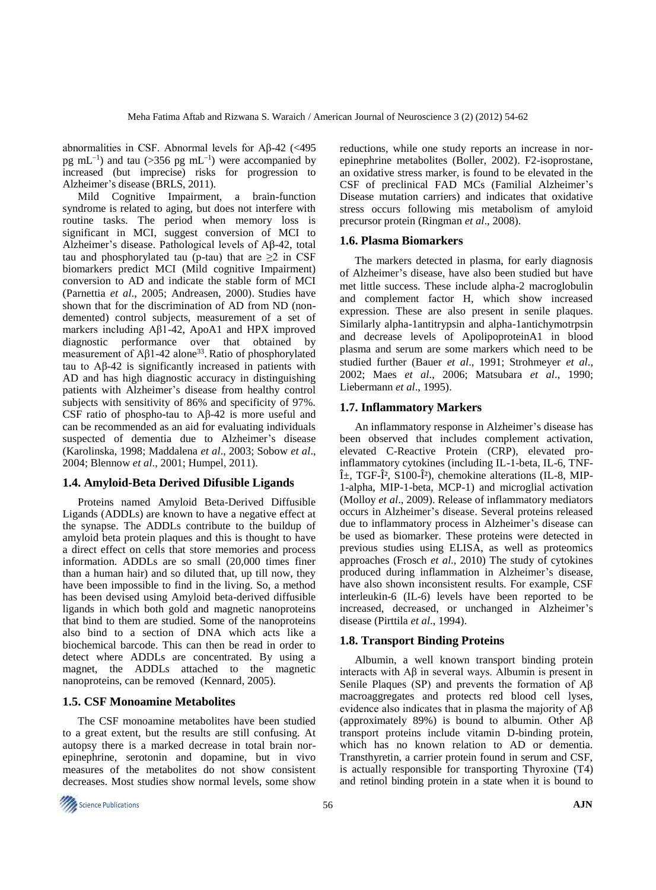abnormalities in CSF. Abnormal levels for Aβ-42 (<495 pg mL<sup>-1</sup>) and tau (>356 pg mL<sup>-1</sup>) were accompanied by increased (but imprecise) risks for progression to Alzheimer's disease (BRLS, 2011).

Mild Cognitive Impairment, a brain-function syndrome is related to aging, but does not interfere with routine tasks. The period when memory loss is significant in MCI, suggest conversion of MCI to Alzheimer's disease. Pathological levels of Aβ-42, total tau and phosphorylated tau (p-tau) that are  $\geq 2$  in CSF biomarkers predict MCI (Mild cognitive Impairment) conversion to AD and indicate the stable form of MCI (Parnettia *et al*., 2005; Andreasen, 2000). Studies have shown that for the discrimination of AD from ND (nondemented) control subjects, measurement of a set of markers including Aβ1-42, ApoA1 and HPX improved diagnostic performance over that obtained by measurement of Aβ1-42 alone<sup>33</sup>. Ratio of phosphorylated tau to Aβ-42 is significantly increased in patients with AD and has high diagnostic accuracy in distinguishing patients with Alzheimer's disease from healthy control subjects with sensitivity of 86% and specificity of 97%. CSF ratio of phospho-tau to Aβ-42 is more useful and can be recommended as an aid for evaluating individuals suspected of dementia due to Alzheimer's disease (Karolinska, 1998; Maddalena *et al*., 2003; Sobow *et al*., 2004; Blennow *et al*., 2001; Humpel, 2011).

## **1.4. Amyloid-Beta Derived Difusible Ligands**

Proteins named Amyloid Beta-Derived Diffusible Ligands [\(ADDLs\)](http://alzheimers.about.com/od/research/a/ADDLs.htm) are known to have a negative effect at the synapse. The ADDLs contribute to the buildup of amyloid beta protein plaques and this is thought to have a direct effect on cells that store memories and process information. ADDLs are so small (20,000 times finer than a human hair) and so diluted that, up till now, they have been impossible to find in the living. So, a method has been devised using Amyloid beta-derived diffusible ligands in which both gold and magnetic nanoproteins that bind to them are studied. Some of the nanoproteins also bind to a section of [DNA](http://alzheimers.about.com/od/research/a/vaccine_alz.htm) which acts like a biochemical barcode. This can then be read in order to detect where ADDLs are concentrated. By using a magnet, the ADDLs attached to the magnetic nanoproteins, can be removed [\(Kennard,](http://alzheimers.about.com/bio/Christine-Kennard-10891.htm) 2005).

#### **1.5. CSF Monoamine Metabolites**

The CSF monoamine metabolites have been studied to a great extent, but the results are still confusing. At autopsy there is a marked decrease in total brain norepinephrine, serotonin and dopamine, but in vivo measures of the metabolites do not show consistent decreases. Most studies show normal levels, some show

reductions, while one study reports an increase in norepinephrine metabolites (Boller, 2002). F2-isoprostane, an oxidative stress marker, is found to be elevated in the CSF of preclinical FAD MCs (Familial Alzheimer's Disease mutation carriers) and indicates that oxidative stress occurs following mis metabolism of amyloid precursor protein (Ringman *et al*., 2008).

## **1.6. Plasma Biomarkers**

The markers detected in plasma, for early diagnosis of Alzheimer's disease, have also been studied but have met little success. These include alpha-2 macroglobulin and complement factor H, which show increased expression. These are also present in senile plaques. Similarly alpha-1antitrypsin and alpha-1antichymotrpsin and decrease levels of ApolipoproteinA1 in blood plasma and serum are some markers which need to be studied further (Bauer *et al*., 1991; Strohmeyer *et al*., 2002; Maes *et al*., 2006; Matsubara *et al*., 1990; Liebermann *et al*., 1995).

### **1.7. Inflammatory Markers**

An inflammatory response in Alzheimer's disease has been observed that includes complement activation, elevated C-Reactive Protein (CRP), elevated proinflammatory cytokines (including IL-1-beta, IL-6, TNF- $\hat{I}$ ±, TGF- $\hat{I}^2$ , S100- $\hat{I}^2$ ), chemokine alterations (IL-8, MIP-1-alpha, MIP-1-beta, MCP-1) and microglial activation (Molloy *et al*., 2009). Release of inflammatory mediators occurs in Alzheimer's disease. Several proteins released due to inflammatory process in Alzheimer's disease can be used as biomarker. These proteins were detected in previous studies using ELISA, as well as proteomics approaches (Frosch *et al*., 2010) The study of cytokines produced during inflammation in Alzheimer's disease, have also shown inconsistent results. For example, CSF interleukin-6 (IL-6) levels have been reported to be increased, decreased, or unchanged in Alzheimer's disease (Pirttila *et al*., 1994).

#### **1.8. Transport Binding Proteins**

Albumin, a well known transport binding protein interacts with  $\mathbf{A}\beta$  in several ways. Albumin is present in Senile Plaques (SP) and prevents the formation of Aβ macroaggregates and protects red blood cell lyses, evidence also indicates that in plasma the majority of  $A\beta$ (approximately 89%) is bound to albumin. Other Aβ transport proteins include vitamin D-binding protein, which has no known relation to AD or dementia. Transthyretin, a carrier protein found in serum and CSF, is actually responsible for transporting Thyroxine (T4) and retinol binding protein in a state when it is bound to

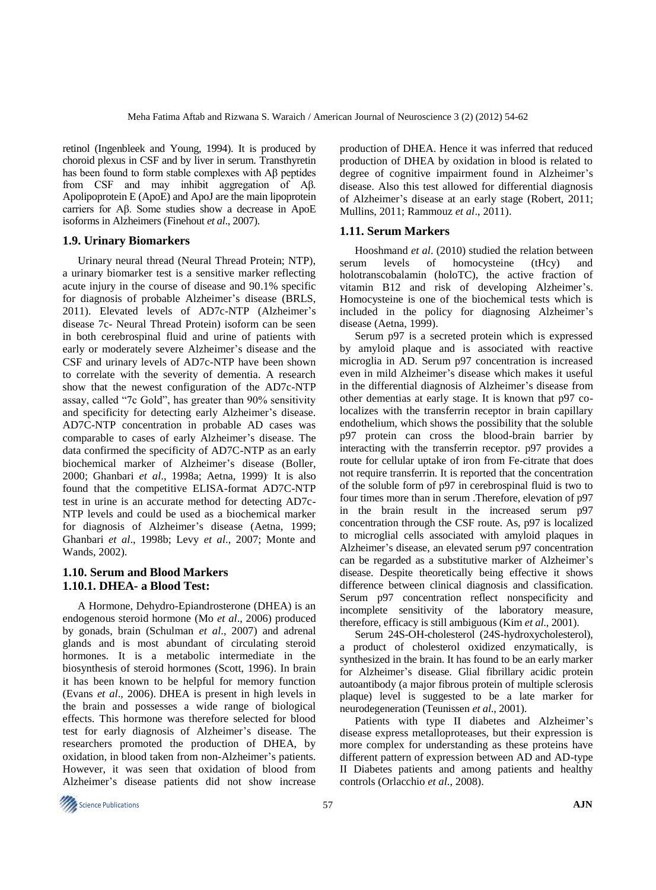retinol [\(Ingenbleek](http://www.ncbi.nlm.nih.gov/pubmed?term=Ingenbleek%20Y%5BAuthor%5D&cauthor=true&cauthor_uid=7946531) and [Young,](http://www.ncbi.nlm.nih.gov/pubmed?term=Young%20V%5BAuthor%5D&cauthor=true&cauthor_uid=7946531) 1994). It is produced by choroid plexus in CSF and by liver in serum. Transthyretin has been found to form stable complexes with Aβ peptides from CSF and may inhibit aggregation of Aβ. Apolipoprotein E (ApoE) and ApoJ are the main lipoprotein carriers for Aβ. Some studies show a decrease in ApoE isoforms in Alzheimers (Finehout *et al*., 2007).

#### **1.9. Urinary Biomarkers**

Urinary neural thread (Neural Thread Protein; NTP), a urinary biomarker test is a sensitive marker reflecting acute injury in the course of disease and 90.1% specific for diagnosis of probable Alzheimer's disease (BRLS, 2011). Elevated levels of AD7c-NTP (Alzheimer's disease 7c- Neural Thread Protein) isoform can be seen in both cerebrospinal fluid and urine of patients with early or moderately severe Alzheimer's disease and the CSF and urinary levels of AD7c-NTP have been shown to correlate with the severity of dementia. A research show that the newest configuration of the AD7c-NTP assay, called "7c Gold", has greater than 90% sensitivity and specificity for detecting early Alzheimer's disease. AD7C-NTP concentration in probable AD cases was comparable to cases of early Alzheimer's disease. The data confirmed the specificity of AD7C-NTP as an early biochemical marker of Alzheimer's disease (Boller, 2000; Ghanbari *et al*., 1998a; Aetna, 1999). It is also found that the competitive ELISA-format AD7C-NTP test in urine is an accurate method for detecting AD7c-NTP levels and could be used as a biochemical marker for diagnosis of Alzheimer's disease (Aetna, 1999; Ghanbari *et al*., 1998b; Levy *et al*., 2007; Monte and Wands, 2002).

## **1.10. Serum and Blood Markers 1.10.1. DHEA- a Blood Test:**

A Hormone, Dehydro-Epiandrosterone (DHEA) is an endogenous steroid hormone (Mo *et al*., 2006) produced by gonads, brain (Schulman *et al*., 2007) and adrenal glands and is most abundant of circulating steroid hormones. It is a metabolic intermediate in the biosynthesis of steroid hormones (Scott, 1996). In brain it has been known to be helpful for memory function (Evans *et al*., 2006). DHEA is present in high levels in the brain and possesses a wide range of biological effects. This hormone was therefore selected for blood test for early diagnosis of Alzheimer's disease. The researchers promoted the production of DHEA, by oxidation, in blood taken from non-Alzheimer's patients. However, it was seen that oxidation of blood from Alzheimer's disease patients did not show increase production of DHEA. Hence it was inferred that reduced production of DHEA by oxidation in blood is related to degree of cognitive impairment found in Alzheimer's disease. Also this test allowed for differential diagnosis of Alzheimer's disease at an early stage (Robert, 2011; Mullins, 2011; Rammouz *et al*., 2011).

#### **1.11. Serum Markers**

Hooshmand *et al*. (2010) studied the relation between serum levels of homocysteine (tHcy) and holotranscobalamin (holoTC), the active fraction of vitamin B12 and risk of developing Alzheimer's. Homocysteine is one of the biochemical tests which is included in the policy for diagnosing Alzheimer's disease (Aetna, 1999).

Serum p97 is a secreted protein which is expressed by amyloid plaque and is associated with reactive microglia in AD. Serum p97 concentration is increased even in mild Alzheimer's disease which makes it useful in the differential diagnosis of Alzheimer's disease from other dementias at early stage. It is known that p97 colocalizes with the transferrin receptor in brain capillary endothelium, which shows the possibility that the soluble p97 protein can cross the blood-brain barrier by interacting with the transferrin receptor. p97 provides a route for cellular uptake of iron from Fe-citrate that does not require transferrin. It is reported that the concentration of the soluble form of p97 in cerebrospinal fluid is two to four times more than in serum .Therefore, elevation of p97 in the brain result in the increased serum p97 concentration through the CSF route. As, p97 is localized to microglial cells associated with amyloid plaques in Alzheimer's disease, an elevated serum p97 concentration can be regarded as a substitutive marker of Alzheimer's disease. Despite theoretically being effective it shows difference between clinical diagnosis and classification. Serum p97 concentration reflect nonspecificity and incomplete sensitivity of the laboratory measure, therefore, efficacy is still ambiguous (Kim *et al*., 2001).

Serum 24S-OH-cholesterol (24S-hydroxycholesterol), a product of cholesterol oxidized enzymatically, is synthesized in the brain. It has found to be an early marker for Alzheimer's disease. Glial fibrillary acidic protein autoantibody (a major fibrous protein of multiple sclerosis plaque) level is suggested to be a late marker for neurodegeneration (Teunissen *et al*., 2001).

Patients with type II diabetes and Alzheimer's disease express metalloproteases, but their expression is more complex for understanding as these proteins have different pattern of expression between AD and AD-type II Diabetes patients and among patients and healthy controls (Orlacchio *et al*., 2008).

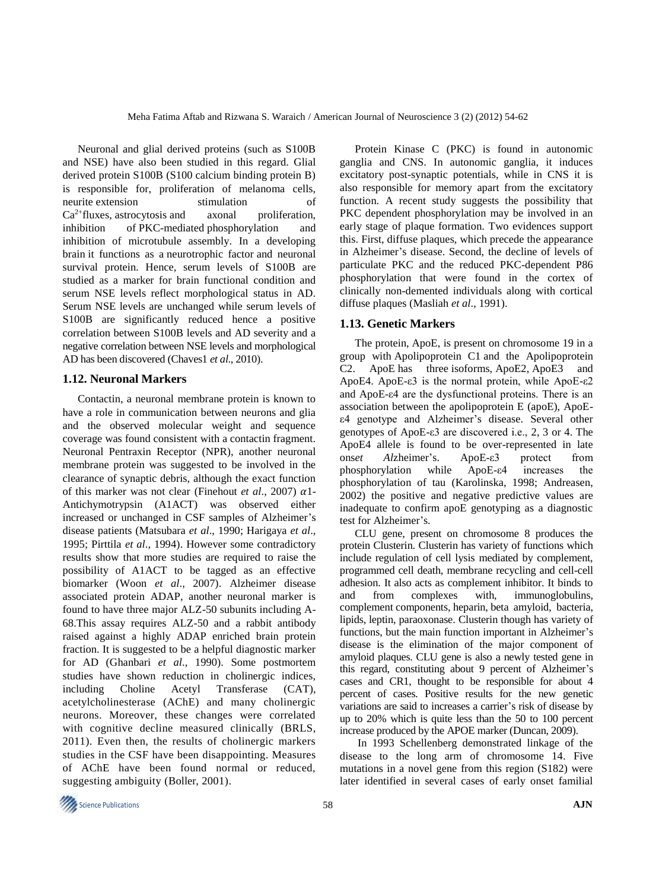Neuronal and glial derived proteins (such as S100B and NSE) have also been studied in this regard. Glial derived protein S100B (S100 calcium binding protein B) is responsible for, proliferation of melanoma cells, [neurite](http://en.wikipedia.org/wiki/Neurite) extension stimulation of Ca<sup>2+</sup>fluxes, [astrocytosis](http://en.wikipedia.org/wiki/Astrocytosis) and axonal proliferation, inhibition of [PKC-](http://en.wikipedia.org/wiki/Protein_kinase_C)mediated [phosphorylation](http://en.wikipedia.org/wiki/Phosphorylation) and inhibition of microtubule assembly. In a developing brain it functions as a [neurotrophic factor](http://en.wikipedia.org/wiki/Neurotrophic_factor) and neuronal survival protein. Hence, serum levels of S100B are studied as a marker for brain functional condition and serum NSE levels reflect morphological status in AD. Serum NSE levels are unchanged while serum levels of S100B are significantly reduced hence a positive correlation between S100B levels and AD severity and a negative correlation between NSE levels and morphological AD has been discovered (Chaves1 *et al*., 2010).

#### **1.12. Neuronal Markers**

Contactin, a neuronal membrane protein is known to have a role in communication between neurons and glia and the observed molecular weight and sequence coverage was found consistent with a contactin fragment. Neuronal Pentraxin Receptor (NPR), another neuronal membrane protein was suggested to be involved in the clearance of synaptic debris, although the exact function of this marker was not clear (Finehout *et al.*, 2007)  $\alpha$ 1-Antichymotrypsin (A1ACT) was observed either increased or unchanged in CSF samples of Alzheimer's disease patients (Matsubara *et al*., 1990; Harigaya *et al*., 1995; Pirttila *et al*., 1994). However some contradictory results show that more studies are required to raise the possibility of A1ACT to be tagged as an effective biomarker (Woon *et al*., 2007). Alzheimer disease associated protein ADAP, another neuronal marker is found to have three major ALZ-50 subunits including A-68.This assay requires ALZ-50 and a rabbit antibody raised against a highly ADAP enriched brain protein fraction. It is suggested to be a helpful diagnostic marker for AD (Ghanbari *et al*., 1990). Some postmortem studies have shown reduction in cholinergic indices, including Choline Acetyl Transferase (CAT), acetylcholinesterase (AChE) and many cholinergic neurons. Moreover, these changes were correlated with cognitive decline measured clinically (BRLS, 2011). Even then, the results of cholinergic markers studies in the CSF have been disappointing. Measures of AChE have been found normal or reduced, suggesting ambiguity (Boller, 2001).

Protein Kinase C (PKC) is found in autonomic ganglia and CNS. In autonomic ganglia, it induces excitatory post-synaptic potentials, while in CNS it is also responsible for memory apart from the excitatory function. A recent study suggests the possibility that PKC dependent phosphorylation may be involved in an early stage of plaque formation. Two evidences support this. First, diffuse plaques, which precede the appearance in Alzheimer's disease. Second, the decline of levels of particulate PKC and the reduced PKC-dependent P86 phosphorylation that were found in the cortex of clinically non-demented individuals along with cortical diffuse plaques (Masliah *et al*., 1991).

## **1.13. Genetic Markers**

The protein, ApoE, is present on [chromosome 19](http://en.wikipedia.org/wiki/Chromosome_19_(human)) in a group with [Apolipoprotein C1](http://en.wikipedia.org/wiki/Apolipoprotein_C1) and the [Apolipoprotein](http://en.wikipedia.org/wiki/Apolipoprotein_C2)  [C2.](http://en.wikipedia.org/wiki/Apolipoprotein_C2) ApoE has three [isoforms,](http://en.wikipedia.org/wiki/Isoform) ApoE2, ApoE3 and ApoE4. ApoE-ε3 is the normal protein, while ApoE-ε2 and ApoE-ε4 are the dysfunctional proteins. There is an association between the apolipoprotein E (apoE), ApoEε4 genotype and Alzheimer's disease. Several other genotypes of ApoE-ε3 are discovered i.e., 2, 3 or 4. The ApoE4 allele is found to be over-represented in late ons*et Al*zheimer's. ApoE-ε3 protect from phosphorylation while ApoE-ε4 increases the phosphorylation of tau (Karolinska, 1998; Andreasen, 2002) the positive and negative predictive values are inadequate to confirm apoE genotyping as a diagnostic test for Alzheimer's.

CLU gene, present on chromosome 8 produces the protein Clusterin. Clusterin has variety of functions which include regulation of cell lysis mediated by complement, programmed cell death, membrane recycling and cell-cell adhesion. It also acts as complement inhibitor. It binds to and from complexes with, immunoglobulins, [complement](http://en.wikipedia.org/wiki/Complement_system) components, [heparin,](http://en.wikipedia.org/wiki/Heparin) [beta amyloid,](http://en.wikipedia.org/wiki/Beta_amyloid) [bacteria,](http://en.wikipedia.org/wiki/Bacteria) lipids, [leptin,](http://en.wikipedia.org/wiki/Leptin) [paraoxonase.](http://en.wikipedia.org/wiki/Paraoxonase) Clusterin though has variety of functions, but the main function important in Alzheimer's disease is the elimination of the major component of amyloid plaques. CLU gene is also a newly tested gene in this regard, constituting about 9 percent of Alzheimer's cases and CR1, thought to be responsible for about 4 percent of cases. Positive results for the new genetic variations are said to increases a carrier's risk of disease by up to 20% which is quite less than the 50 to 100 percent increase produced by the APOE marker (Duncan, 2009).

In 1993 Schellenberg demonstrated linkage of the disease to the long arm of chromosome 14. Five mutations in a novel gene from this region (S182) were later identified in several cases of early onset familial

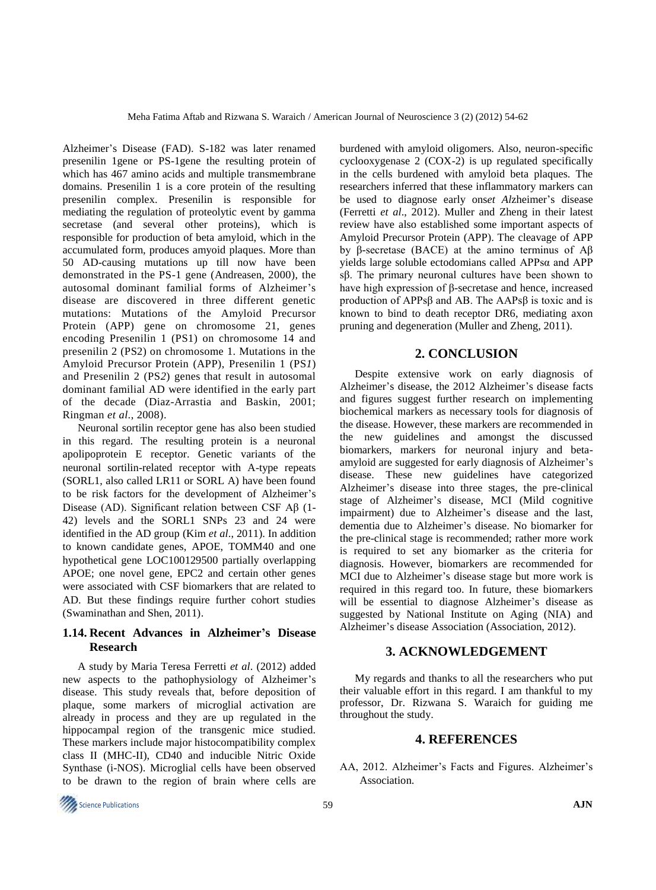Alzheimer's Disease (FAD). S-182 was later renamed presenilin 1gene or PS-1gene the resulting protein of which has 467 amino acids and multiple transmembrane domains. Presenilin 1 is a core protein of the resulting presenilin complex. Presenilin is responsible for mediating the regulation of proteolytic event by gamma secretase (and several other proteins), which is responsible for production of beta amyloid, which in the accumulated form, produces amyoid plaques. More than 50 AD-causing mutations up till now have been demonstrated in the PS-1 gene (Andreasen, 2000), the autosomal dominant familial forms of Alzheimer's disease are discovered in three different genetic mutations: Mutations of the Amyloid Precursor Protein (APP) gene on chromosome 21, genes encoding Presenilin 1 (PS1) on chromosome 14 and presenilin 2 (PS2) on chromosome 1. Mutations in the Amyloid Precursor Protein (APP), Presenilin 1 (PS*1*) and Presenilin 2 (PS*2*) genes that result in autosomal dominant familial AD were identified in the early part of the decade (Diaz-Arrastia and Baskin, 2001; Ringman *et al*., 2008).

Neuronal sortilin receptor gene has also been studied in this regard. The resulting protein is a neuronal apolipoprotein E receptor. Genetic variants of the neuronal sortilin-related receptor with A-type repeats (SORL1, also called LR11 or SORL A) have been found to be risk factors for the development of Alzheimer's Disease (AD). Significant relation between CSF Aβ (1- 42) levels and the SORL1 SNPs 23 and 24 were identified in the AD group (Kim *et al*., 2011). In addition to known candidate genes, APOE, TOMM40 and one hypothetical gene LOC100129500 partially overlapping APOE; one novel gene, EPC2 and certain other genes were associated with CSF biomarkers that are related to AD. But these findings require further cohort studies (Swaminathan and Shen, 2011).

# **1.14. Recent Advances in Alzheimer's Disease Research**

A study by Maria Teresa Ferretti *et al*. (2012) added new aspects to the pathophysiology of Alzheimer's disease. This study reveals that, before deposition of plaque, some markers of microglial activation are already in process and they are up regulated in the hippocampal region of the transgenic mice studied. These markers include major histocompatibility complex class II (MHC-II), CD40 and inducible Nitric Oxide Synthase (i-NOS). Microglial cells have been observed to be drawn to the region of brain where cells are burdened with amyloid oligomers. Also, neuron-specific cyclooxygenase 2 (COX-2) is up regulated specifically in the cells burdened with amyloid beta plaques. The researchers inferred that these inflammatory markers can be used to diagnose early ons*et Al*zheimer's disease (Ferretti *et al*., 2012). Muller and Zheng in their latest review have also established some important aspects of Amyloid Precursor Protein (APP). The cleavage of APP by β-secretase (BACE) at the amino terminus of Aβ yields large soluble ectodomians called APPsα and APP sβ. The primary neuronal cultures have been shown to have high expression of β-secretase and hence, increased production of APPsβ and AB. The AAPsβ is toxic and is known to bind to death receptor DR6, mediating axon pruning and degeneration (Muller and Zheng, 2011).

## **2. CONCLUSION**

Despite extensive work on early diagnosis of Alzheimer's disease, the 2012 Alzheimer's disease facts and figures suggest further research on implementing biochemical markers as necessary tools for diagnosis of the disease. However, these markers are recommended in the new guidelines and amongst the discussed biomarkers, markers for neuronal injury and betaamyloid are suggested for early diagnosis of Alzheimer's disease. These new guidelines have categorized Alzheimer's disease into three stages, the pre-clinical stage of Alzheimer's disease, MCI (Mild cognitive impairment) due to Alzheimer's disease and the last, dementia due to Alzheimer's disease. No biomarker for the pre-clinical stage is recommended; rather more work is required to set any biomarker as the criteria for diagnosis. However, biomarkers are recommended for MCI due to Alzheimer's disease stage but more work is required in this regard too. In future, these biomarkers will be essential to diagnose Alzheimer's disease as suggested by National Institute on Aging (NIA) and Alzheimer's disease Association (Association, 2012).

## **3. ACKNOWLEDGEMENT**

My regards and thanks to all the researchers who put their valuable effort in this regard. I am thankful to my professor, Dr. Rizwana S. Waraich for guiding me throughout the study.

## **4. REFERENCES**

AA, 2012. Alzheimer's Facts and Figures. Alzheimer's Association.

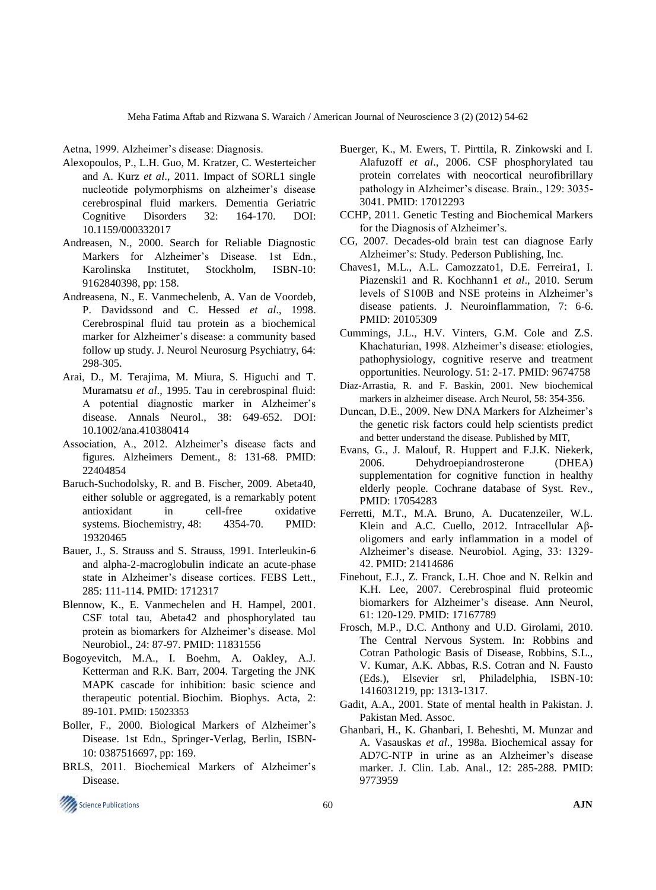Aetna, 1999. Alzheimer's disease: Diagnosis.

- Alexopoulos, P., L.H. Guo, M. Kratzer, C. Westerteicher and A. Kurz *et al*., 2011. Impact of SORL1 single nucleotide polymorphisms on alzheimer's disease cerebrospinal fluid markers. Dementia Geriatric Cognitive Disorders 32: 164-170. DOI: 10.1159/000332017
- Andreasen, N., 2000. Search for Reliable Diagnostic Markers for Alzheimer's Disease. 1st Edn., Karolinska Institutet, Stockholm, ISBN-10: 9162840398, pp: 158.
- Andreasena, N., E. Vanmechelenb, A. Van de Voordeb, P. Davidssond and C. Hessed *et al*., 1998. Cerebrospinal fluid tau protein as a biochemical marker for Alzheimer's disease: a community based follow up study. J. Neurol Neurosurg Psychiatry, 64: 298-305.
- Arai, D., M. Terajima, M. Miura, S. Higuchi and T. Muramatsu *et al*., 1995. Tau in cerebrospinal fluid: A potential diagnostic marker in Alzheimer's disease. Annals Neurol., 38: 649-652. DOI: 10.1002/ana.410380414
- Association, A., 2012. Alzheimer's disease facts and figures. Alzheimers Dement., 8: 131-68. PMID: 22404854
- Baruch-Suchodolsky, R. and B. Fischer, 2009. Abeta40, either soluble or aggregated, is a remarkably potent antioxidant in cell-free oxidative systems. Biochemistry, 48: 4354-70. PMID: 19320465
- Bauer, J., S. Strauss and S. Strauss, 1991. Interleukin-6 and alpha-2-macroglobulin indicate an acute-phase state in Alzheimer's disease cortices. FEBS Lett., 285: 111-114. PMID: 1712317
- Blennow, K., E. Vanmechelen and H. Hampel, 2001. CSF total tau, Abeta42 and phosphorylated tau protein as biomarkers for Alzheimer's disease. Mol Neurobiol., 24: 87-97. PMID: 11831556
- Bogoyevitch, M.A., I. Boehm, A. Oakley, A.J. Ketterman and R.K. Barr, 2004. Targeting the JNK MAPK cascade for inhibition: basic science and therapeutic potential. Biochim. Biophys. Acta, 2: 89-101. [PMID:](http://www.ncbi.nlm.nih.gov/pubmed/15023353) 15023353
- Boller, F., 2000. Biological Markers of Alzheimer's Disease. 1st Edn., Springer-Verlag, Berlin, ISBN-10: 0387516697, pp: 169.
- BRLS, 2011. Biochemical Markers of Alzheimer's Disease.
- Buerger, K., M. Ewers, T. Pirttila, R. Zinkowski and I. Alafuzoff *et al*., 2006. CSF phosphorylated tau protein correlates with neocortical neurofibrillary pathology in Alzheimer's disease. Brain., 129: 3035- 3041. PMID: 17012293
- CCHP, 2011. Genetic Testing and Biochemical Markers for the Diagnosis of Alzheimer's.
- CG, 2007. Decades-old brain test can diagnose Early Alzheimer's: Study. Pederson Publishing, Inc.
- Chaves1, M.L., A.L. Camozzato1, D.E. Ferreira1, I. Piazenski1 and R. Kochhann1 *et al*., 2010. Serum levels of S100B and NSE proteins in Alzheimer's disease patients. J. Neuroinflammation, 7: 6-6. PMID: 20105309
- Cummings, J.L., H.V. Vinters, G.M. Cole and Z.S. Khachaturian, 1998. Alzheimer's disease: etiologies, pathophysiology, cognitive reserve and treatment opportunities. Neurology. 51: 2-17. PMID: 9674758
- Diaz-Arrastia, R. and F. Baskin, 2001. New biochemical markers in alzheimer disease. Arch Neurol, 58: 354-356.
- Duncan, D.E., 2009. New DNA Markers for Alzheimer's the genetic risk factors could help scientists predict and better understand the disease. Published by MIT,
- Evans, G., J. Malouf, R. Huppert and F.J.K. Niekerk, 2006. Dehydroepiandrosterone (DHEA) supplementation for cognitive function in healthy elderly people. Cochrane database of Syst. Rev., PMID: 17054283
- Ferretti, M.T., M.A. Bruno, A. Ducatenzeiler, W.L. Klein and A.C. Cuello, 2012. Intracellular Aβoligomers and early inflammation in a model of Alzheimer's disease. Neurobiol. Aging, 33: 1329- 42. PMID: 21414686
- Finehout, E.J., Z. Franck, L.H. Choe and N. Relkin and K.H. Lee, 2007. Cerebrospinal fluid proteomic biomarkers for Alzheimer's disease. Ann Neurol, 61: 120-129. PMID: 17167789
- Frosch, M.P., D.C. Anthony and U.D. Girolami, 2010. The Central Nervous System. In: Robbins and Cotran Pathologic Basis of Disease, Robbins, S.L., V. Kumar, A.K. Abbas, R.S. Cotran and N. Fausto (Eds.), Elsevier srl, Philadelphia, ISBN-10: 1416031219, pp: 1313-1317.
- Gadit, A.A., 2001. State of mental health in Pakistan. J. Pakistan Med. Assoc.
- Ghanbari, H., K. Ghanbari, I. Beheshti, M. Munzar and A. Vasauskas *et al*., 1998a. Biochemical assay for AD7C-NTP in urine as an Alzheimer's disease marker. J. Clin. Lab. Anal., 12: 285-288. PMID: 9773959

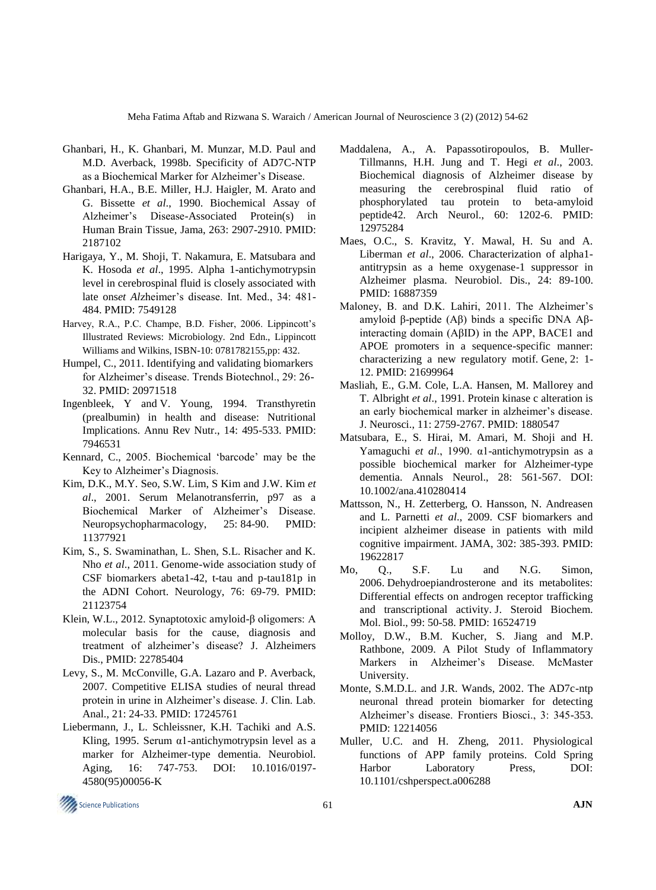Meha Fatima Aftab and Rizwana S. Waraich / American Journal of Neuroscience 3 (2) (2012) 54-62

- Ghanbari, H., K. Ghanbari, M. Munzar, M.D. Paul and M.D. Averback, 1998b. Specificity of AD7C-NTP as a Biochemical Marker for Alzheimer's Disease.
- Ghanbari, H.A., B.E. Miller, H.J. Haigler, M. Arato and G. Bissette *et al*., 1990. Biochemical Assay of Alzheimer's Disease-Associated Protein(s) in Human Brain Tissue, Jama, 263: 2907-2910. PMID: 2187102
- Harigaya, Y., M. Shoji, T. Nakamura, E. Matsubara and K. Hosoda *et al*., 1995. Alpha 1-antichymotrypsin level in cerebrospinal fluid is closely associated with late ons*et Al*zheimer's disease. Int. Med., 34: 481- 484. PMID: 7549128
- Harvey, R.A., P.C. Champe, B.D. Fisher, 2006. Lippincott's Illustrated Reviews: Microbiology. 2nd Edn., Lippincott Williams and Wilkins, ISBN-10: 0781782155,pp: 432.
- Humpel, C., 2011. Identifying and validating biomarkers for Alzheimer's disease. Trends Biotechnol., 29: 26- 32. PMID: 20971518
- [Ingenbleek, Y](http://www.ncbi.nlm.nih.gov/pubmed?term=Ingenbleek%20Y%5BAuthor%5D&cauthor=true&cauthor_uid=7946531) and V. [Young,](http://www.ncbi.nlm.nih.gov/pubmed?term=Young%20V%5BAuthor%5D&cauthor=true&cauthor_uid=7946531) 1994. Transthyretin (prealbumin) in health and disease: Nutritional Implications. Annu Rev Nutr., 14: 495-533. PMID: 7946531
- [Kennard,](http://alzheimers.about.com/bio/Christine-Kennard-10891.htm) C., 2005. Biochemical 'barcode' may be the Key to Alzheimer's Diagnosis.
- Kim, D.K., M.Y. Seo, S.W. Lim, S Kim and J.W. Kim *et al*., 2001. Serum Melanotransferrin, p97 as a Biochemical Marker of Alzheimer's Disease. Neuropsychopharmacology, 25: 84-90. PMID: 11377921
- Kim, S., S. Swaminathan, L. Shen, S.L. Risacher and K. Nho *et al*., 2011. Genome-wide association study of CSF biomarkers abeta1-42, t-tau and p-tau181p in the ADNI Cohort. Neurology, 76: 69-79. PMID: 21123754
- [Klein, W.L.,](http://www.ncbi.nlm.nih.gov/pubmed?term=Klein%20WL%5BAuthor%5D&cauthor=true&cauthor_uid=22785404) 2012. Synaptotoxic amyloid-β oligomers: A molecular basis for the cause, diagnosis and treatment of alzheimer's disease? [J. Alzheimers](http://www.ncbi.nlm.nih.gov/pubmed/22785404?dopt=Abstract)  [Dis.,](http://www.ncbi.nlm.nih.gov/pubmed/22785404?dopt=Abstract) PMID: 22785404
- Levy, S., M. McConville, G.A. Lazaro and P. Averback, 2007. Competitive ELISA studies of neural thread protein in urine in Alzheimer's disease. J. Clin. Lab. Anal., 21: 24-33. PMID: 17245761
- Liebermann, J., L. Schleissner, K.H. Tachiki and A.S. Kling, 1995. Serum  $\alpha$ 1-antichymotrypsin level as a marker for Alzheimer-type dementia. Neurobiol. Aging, 16: 747-753. DOI: 10.1016/0197- 4580(95)00056-K
- [Maddalena, A.](http://www.ncbi.nlm.nih.gov/pubmed?term=%22Maddalena%20A%22%5BAuthor%5D), A. [Papassotiropoulos,](http://www.ncbi.nlm.nih.gov/pubmed?term=%22Papassotiropoulos%20A%22%5BAuthor%5D) B. [Muller-](http://www.ncbi.nlm.nih.gov/pubmed?term=%22M%C3%BCller-Tillmanns%20B%22%5BAuthor%5D)[Tillmanns,](http://www.ncbi.nlm.nih.gov/pubmed?term=%22M%C3%BCller-Tillmanns%20B%22%5BAuthor%5D) H.H. [Jung](http://www.ncbi.nlm.nih.gov/pubmed?term=%22Jung%20HH%22%5BAuthor%5D) and T. [Hegi](http://www.ncbi.nlm.nih.gov/pubmed?term=%22Hegi%20T%22%5BAuthor%5D) *et al*., 2003. Biochemical diagnosis of Alzheimer disease by measuring the cerebrospinal fluid ratio of phosphorylated tau protein to beta-amyloid peptide42. Arch Neurol., 60: 1202-6. PMID: 12975284
- Maes, O.C., S. Kravitz, Y. Mawal, H. Su and A. Liberman *et al*., 2006. Characterization of alpha1 antitrypsin as a heme oxygenase-1 suppressor in Alzheimer plasma. Neurobiol. Dis., 24: 89-100. PMID: 16887359
- Maloney, B. and D.K. Lahiri, 2011. The Alzheimer's amyloid β-peptide (Aβ) binds a specific DNA Aβinteracting domain (AβID) in the APP, BACE1 and APOE promoters in a sequence-specific manner: characterizing a new regulatory motif. Gene, 2: 1- 12. PMID: 21699964
- Masliah, E., G.M. Cole, L.A. Hansen, M. Mallorey and T. Albright *et al*., 1991. Protein kinase c alteration is an early biochemical marker in alzheimer's disease. J. Neurosci., 11: 2759-2767. PMID: 1880547
- Matsubara, E., S. Hirai, M. Amari, M. Shoji and H. Yamaguchi *et al*., 1990. α1-antichymotrypsin as a possible biochemical marker for Alzheimer-type dementia. Annals Neurol., 28: 561-567. DOI: 10.1002/ana.410280414
- Mattsson, N., H. Zetterberg, O. Hansson, N. Andreasen and L. Parnetti *et al*., 2009. CSF biomarkers and incipient alzheimer disease in patients with mild cognitive impairment. JAMA, 302: 385-393. PMID: 19622817
- Mo, Q., S.F. Lu and N.G. Simon, 2006. [Dehydroepiandrosterone and its metabolites:](http://linkinghub.elsevier.com/retrieve/pii/S0960-0760(06)00039-2)  [Differential effects on androgen receptor trafficking](http://linkinghub.elsevier.com/retrieve/pii/S0960-0760(06)00039-2)  [and transcriptional activity.](http://linkinghub.elsevier.com/retrieve/pii/S0960-0760(06)00039-2) J. Steroid Biochem. Mol. Biol., 99: 50-58. PMID: 16524719
- Molloy, D.W., B.M. Kucher, S. Jiang and M.P. Rathbone, 2009. A Pilot Study of Inflammatory Markers in Alzheimer's Disease. McMaster University.
- Monte, S.M.D.L. and J.R. Wands, 2002. The AD7c-ntp neuronal thread protein biomarker for detecting Alzheimer's disease. Frontiers Biosci., 3: 345-353. PMID: 12214056
- Muller, U.C. and H. Zheng, 2011. Physiological functions of APP family proteins. Cold Spring Harbor Laboratory Press, DOI: 10.1101/cshperspect.a006288